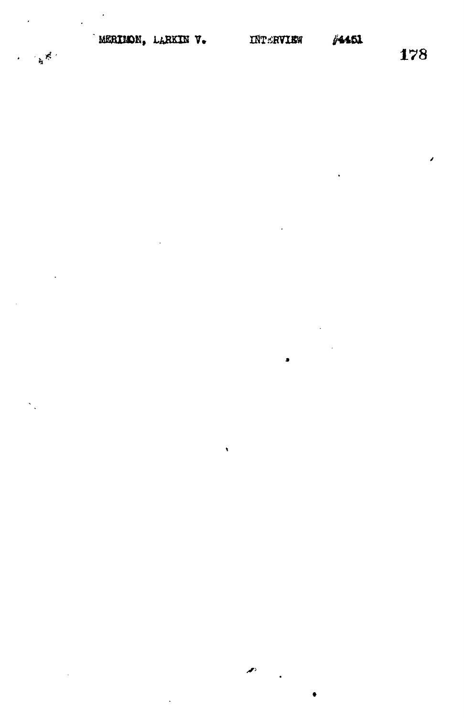MERIMON, LARKIN V. INTERVIEW FAASI

 $\mathcal{L}_{\mathbf{H}}(\mathcal{E})$ 

 $\overline{\mathcal{S}}_{\mathcal{A}}$ 

 $\pmb{\cdot}$ 

 $\bullet$ 

178

 $\tilde{\mathbf{x}}$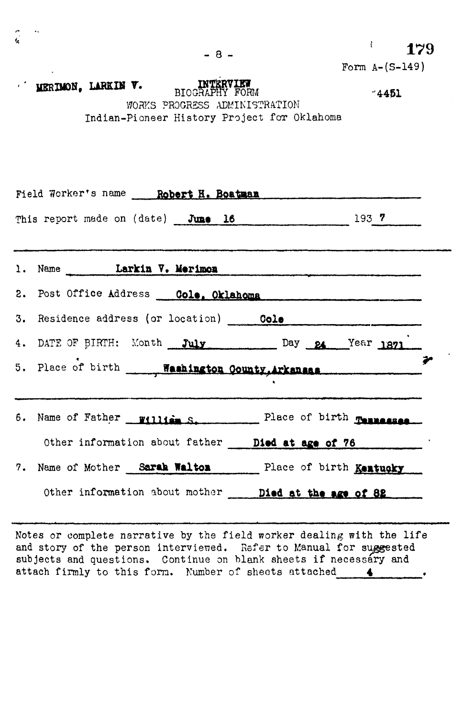Ç

 **179**

Form  $A - (S - 149)$ 

**1**

MERIMON, LARKIN V. INTERVIEW BIOGRAPHY FORM  $-4451$ WORKS PROGRESS ADMINISTRATION Indian-Pioneer History Project for Oklahoma

| Field Worker's name Robert H. Boatman   |                                                            |               |  |
|-----------------------------------------|------------------------------------------------------------|---------------|--|
| This report made on (date) June 16 1937 |                                                            |               |  |
|                                         | 1. Name _________Larkin V. Merimon                         |               |  |
|                                         | 2. Post Office Address Cole, Oklahoma                      |               |  |
|                                         | 3. Residence address (or location) Cole                    |               |  |
|                                         | 4. DATE OF BIRTH: Month July Day 24 Year 1871              |               |  |
|                                         | 5. Place of birth Washington County, Arkansas              | $\rightarrow$ |  |
|                                         | 6. Name of Father william S. Place of birth Termssea       |               |  |
|                                         | Other information about father <b>Died at age of 76</b>    |               |  |
|                                         | 7. Name of Mother Sarah Walton Place of birth Kentucky     |               |  |
|                                         | Other information about mother _____ Died at the age of 82 |               |  |

Notes or complete narrative by the field worker dealing with the life and story of the person interviewed. Refer to Manual for suggested subjects and questions. Continue on blank sheets if necessary and attach firmly to this form. Number of sheets attached 4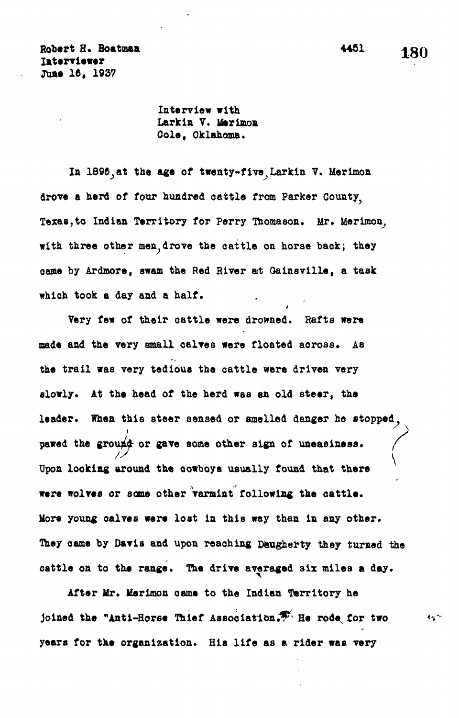**Robert H. Boatman 180 Interviewer Juae 16, 1937**

> **Interview with Larkin V. Uerimon Cole, Oklahoma.**

In 1896, at the age of twenty-five, Larkin V. Merimon **drove a herd of four hundred cattle from Parker County^ Texas,to Indian Territory for Perry Thomason. Mr, Merimon, with three other men,drove the cattle on horse back; they oame by Ardmore, swam the Red River at Qainsville, a task which took a day and a half.**

**Very few of their cattle were drowned. Hafts were made and the very small calves were floated aoroas. As the trail was very tedious the cattle were driven very slowly. At the head of the herd was an old steer, the leader. When this steer sensed or smelled danger he stopped** pawed the ground- or gave some other sign of uneasiness. **\ Upon looking around the cowboys usually found that there were wolves or some other varmint following the cattle. More young oalves were lost in this way than in any other.** They came by Davis and upon reaching Daugherty they turned the **cattle on to the range. The drive averaged six miles a day.**

**After Mr. Merimon came to the Indian Territory he joined the "Anti-Horse Thief Association\*^ He rode Cor two years for the organization. His life as a rider was very**

**\*\*.-**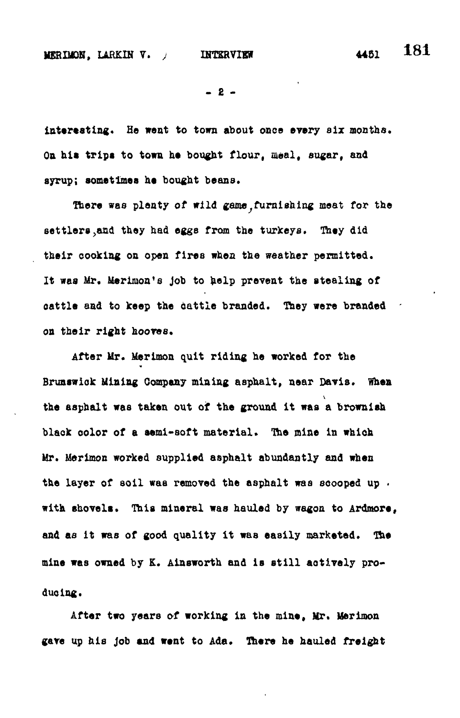**MERIMON, LARKIN V. , UNTERVIEW 4451** 

**- 2 -**

interesting. He went to town about once every six months. On his trips to town he bought flour, meal, sugar, and **syrup; sometimes he bought beans.**

**lbere was plenty of wild game^furnishing meat for the** settlers, and they had eggs from the turkeys. They did **their cooking on open fires when the weather permitted.** It was Mr. Merimon's job to help prevent the stealing of **cattle and to keep the battle branded. They were branded on their right hooves.**

**After Mr. Merimon quit riding he worked for the Brunswick Mining Company mining asphalt, near Davis. When the asphalt was taken out of the ground it was a brownish** black color of a semi-soft material. The mine in which **Mr. Merimon worked supplied asphalt abundantly and when** the layer of soil was removed the asphalt was scooped up . **with shovels. This mineral was hauled by wagon to Ardmore, and as it was of good quality It was easily marketed. Die mine was owned by K. Alnsworth and is still actively producing.**

**After two years of working In the mine, Mr. Merimon g&ve up his Job and went to Ada. There he hauled freight**